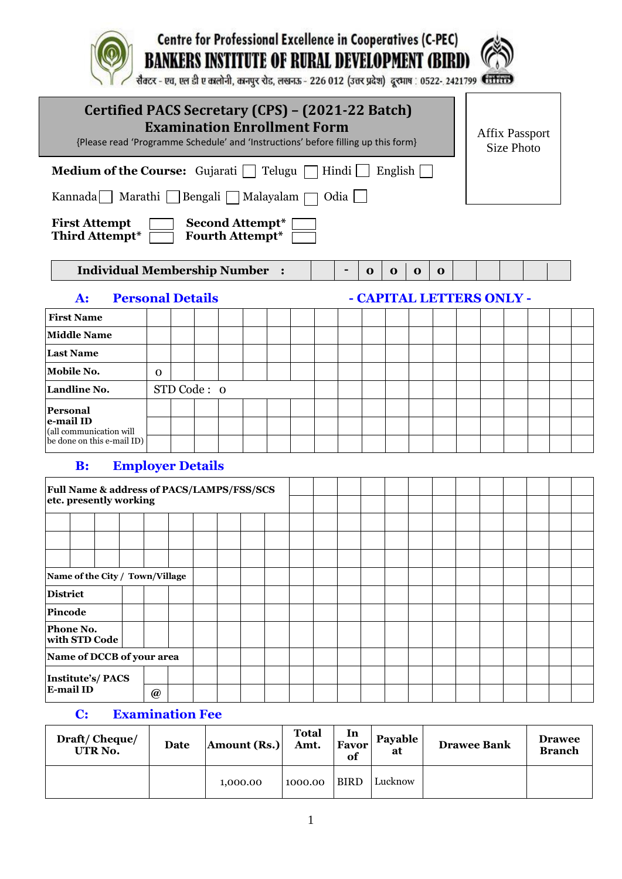# **Centre for Professional Excellence in Cooperatives (C-PEC) BANKERS INSTITUTE OF RURAL DEVELOPMENT (BIRD)**



सैक्टर - एव, एल डी ए कालोनी, कानपुर रोड, लखनऊ - 226 012 (उत्तर प्रदेश) दूरभाष : 0522- 2421799 स्तितिक

| Certified PACS Secretary (CPS) - (2021-22 Batch)<br><b>Examination Enrollment Form</b><br>{Please read 'Programme Schedule' and 'Instructions' before filling up this form} |                           |  |  |  |  |  |  |  |  |             | <b>Affix Passport</b><br><b>Size Photo</b> |              |             |  |                          |  |  |  |
|-----------------------------------------------------------------------------------------------------------------------------------------------------------------------------|---------------------------|--|--|--|--|--|--|--|--|-------------|--------------------------------------------|--------------|-------------|--|--------------------------|--|--|--|
| <b>Medium of the Course:</b> Gujarati $\Box$ Telugu<br>Hindi<br>English $\Box$                                                                                              |                           |  |  |  |  |  |  |  |  |             |                                            |              |             |  |                          |  |  |  |
| Odia $\Box$<br>Kannada   Marathi   Bengali ∏ Malayalam                                                                                                                      |                           |  |  |  |  |  |  |  |  |             |                                            |              |             |  |                          |  |  |  |
| <b>First Attempt</b><br><b>Second Attempt*</b><br>Third Attempt*<br><b>Fourth Attempt*</b>                                                                                  |                           |  |  |  |  |  |  |  |  |             |                                            |              |             |  |                          |  |  |  |
| <b>Individual Membership Number :</b>                                                                                                                                       |                           |  |  |  |  |  |  |  |  | $\mathbf 0$ | $\mathbf o$                                | $\mathbf{o}$ | $\mathbf o$ |  |                          |  |  |  |
| <b>Personal Details</b><br><b>A:</b>                                                                                                                                        |                           |  |  |  |  |  |  |  |  |             |                                            |              |             |  | - CAPITAL LETTERS ONLY - |  |  |  |
| <b>First Name</b>                                                                                                                                                           |                           |  |  |  |  |  |  |  |  |             |                                            |              |             |  |                          |  |  |  |
| <b>Middle Name</b>                                                                                                                                                          |                           |  |  |  |  |  |  |  |  |             |                                            |              |             |  |                          |  |  |  |
| <b>Last Name</b>                                                                                                                                                            |                           |  |  |  |  |  |  |  |  |             |                                            |              |             |  |                          |  |  |  |
| Mobile No.                                                                                                                                                                  | $\mathbf{O}$              |  |  |  |  |  |  |  |  |             |                                            |              |             |  |                          |  |  |  |
| Landline No.                                                                                                                                                                | STD Code: 0               |  |  |  |  |  |  |  |  |             |                                            |              |             |  |                          |  |  |  |
| <b>Personal</b><br>e-mail ID<br>(all communication will<br>be done on this e-mail ID)                                                                                       |                           |  |  |  |  |  |  |  |  |             |                                            |              |             |  |                          |  |  |  |
| <b>Employer Details</b><br>B:                                                                                                                                               |                           |  |  |  |  |  |  |  |  |             |                                            |              |             |  |                          |  |  |  |
| Full Name & address of PACS/LAMPS/FSS/SCS<br>etc. presently working                                                                                                         |                           |  |  |  |  |  |  |  |  |             |                                            |              |             |  |                          |  |  |  |
|                                                                                                                                                                             |                           |  |  |  |  |  |  |  |  |             |                                            |              |             |  |                          |  |  |  |
|                                                                                                                                                                             |                           |  |  |  |  |  |  |  |  |             |                                            |              |             |  |                          |  |  |  |
| Name of the City / Town/Village                                                                                                                                             |                           |  |  |  |  |  |  |  |  |             |                                            |              |             |  |                          |  |  |  |
| <b>District</b>                                                                                                                                                             |                           |  |  |  |  |  |  |  |  |             |                                            |              |             |  |                          |  |  |  |
| Pincode                                                                                                                                                                     |                           |  |  |  |  |  |  |  |  |             |                                            |              |             |  |                          |  |  |  |
| Phone No.<br>with STD Code                                                                                                                                                  |                           |  |  |  |  |  |  |  |  |             |                                            |              |             |  |                          |  |  |  |
|                                                                                                                                                                             | Name of DCCB of your area |  |  |  |  |  |  |  |  |             |                                            |              |             |  |                          |  |  |  |
| <b>Institute's/PACS</b>                                                                                                                                                     |                           |  |  |  |  |  |  |  |  |             |                                            |              |             |  |                          |  |  |  |
| <b>E-mail ID</b>                                                                                                                                                            | $\boldsymbol{a}$          |  |  |  |  |  |  |  |  |             |                                            |              |             |  |                          |  |  |  |
|                                                                                                                                                                             |                           |  |  |  |  |  |  |  |  |             |                                            |              |             |  |                          |  |  |  |

#### **C: Examination Fee**   $\mathbf{C}$ :

| Draft/Cheque/<br>UTR No. | Date | Amount (Rs.) | <b>Total</b><br>Amt. | In<br>Favor<br>of | Payable<br>at | <b>Drawee Bank</b> | <b>Drawee</b><br><b>Branch</b> |
|--------------------------|------|--------------|----------------------|-------------------|---------------|--------------------|--------------------------------|
|                          |      | 1,000.00     | 1000.00              | <b>BIRD</b>       | Lucknow       |                    |                                |